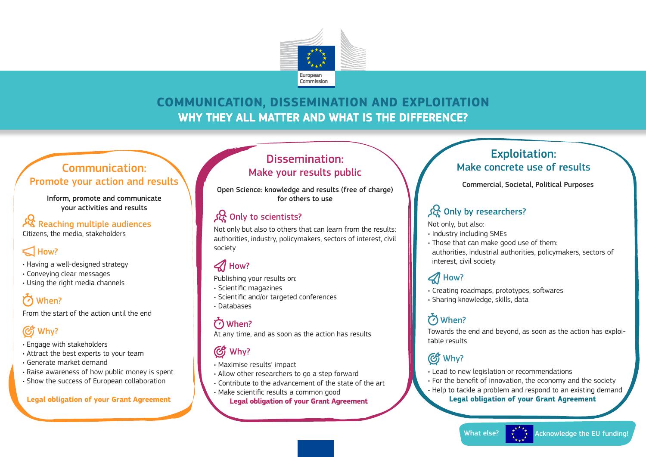

### **COMMUNICATION, DISSEMINATION AND EXPLOITATION** WHY THEY ALL MATTER AND WHAT IS THE DIFFERENCE?

#### Communication: Promote your action and results

Inform, promote and communicate your activities and results

#### **·然** Reaching multiple audiences

Citizens, the media, stakeholders

### $\leq$  How?

- Having a well-designed strategy
- Conveying clear messages
- Using the right media channels

### C When?

From the start of the action until the end

### Why?

- Engage with stakeholders
- Attract the best experts to your team
- Generate market demand
- Raise awareness of how public money is spent
- Show the success of European collaboration

#### **Legal obligation of your Grant Agreement**

#### Dissemination: Make your results public

Open Science: knowledge and results (free of charge) for others to use

#### **Sc** Only to scientists?

Not only but also to others that can learn from the results: authorities, industry, policymakers, sectors of interest, civil society

### $\mathcal A$  How?

Publishing your results on:

- Scientific magazines
- Scientific and/or targeted conferences • Databases

When? At any time, and as soon as the action has results

### C<sub>2</sub> Why?

• Maximise results' impact

- Allow other researchers to go a step forward
- Contribute to the advancement of the state of the art
- Make scientific results a common good

 **Legal obligation of your Grant Agreement**

#### Exploitation: Make concrete use of results

Commercial, Societal, Political Purposes

#### Sec Only by researchers?

Not only, but also:

- Industry including SMEs
- Those that can make good use of them: authorities, industrial authorities, policymakers, sectors of interest, civil society

### $\mathcal A$  How?

• Creating roadmaps, prototypes, softwares

• Sharing knowledge, skills, data

### When?

Towards the end and beyond, as soon as the action has exploitable results

## *CG* Why?

• Lead to new legislation or recommendations • For the benefit of innovation, the economy and the society • Help to tackle a problem and respond to an existing demand

**Legal obligation of your Grant Agreement**